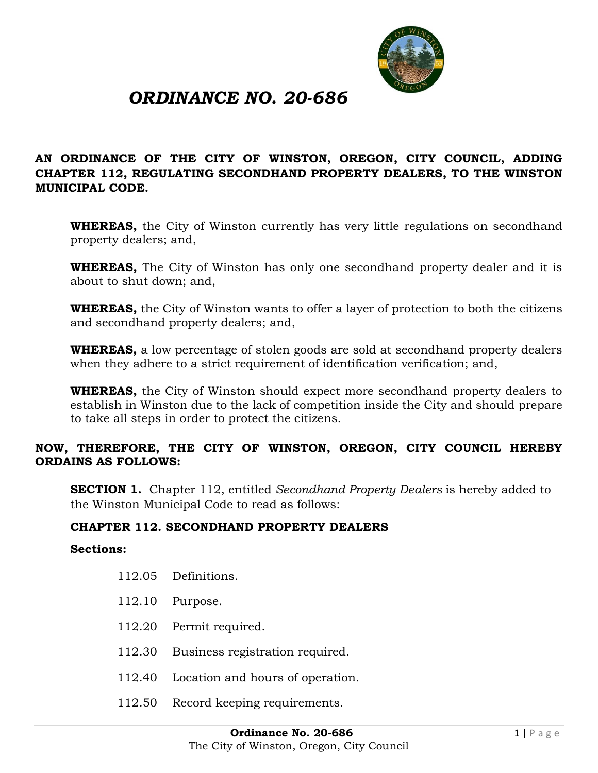

# *ORDINANCE NO. 20-686*

#### **AN ORDINANCE OF THE CITY OF WINSTON, OREGON, CITY COUNCIL, ADDING CHAPTER 112, REGULATING SECONDHAND PROPERTY DEALERS, TO THE WINSTON MUNICIPAL CODE.**

**WHEREAS,** the City of Winston currently has very little regulations on secondhand property dealers; and,

**WHEREAS,** The City of Winston has only one secondhand property dealer and it is about to shut down; and,

**WHEREAS,** the City of Winston wants to offer a layer of protection to both the citizens and secondhand property dealers; and,

**WHEREAS,** a low percentage of stolen goods are sold at secondhand property dealers when they adhere to a strict requirement of identification verification; and,

**WHEREAS,** the City of Winston should expect more secondhand property dealers to establish in Winston due to the lack of competition inside the City and should prepare to take all steps in order to protect the citizens.

#### **NOW, THEREFORE, THE CITY OF WINSTON, OREGON, CITY COUNCIL HEREBY ORDAINS AS FOLLOWS:**

**SECTION 1.** Chapter 112, entitled *Secondhand Property Dealers* is hereby added to the Winston Municipal Code to read as follows:

#### **CHAPTER 112. SECONDHAND PROPERTY DEALERS**

#### **Sections:**

- [112.05 Definitions.](https://www.codepublishing.com/OR/Sutherlin/#!/Sutherlin05/Sutherlin0524.html#5.24.010)
- [112.10 Purpose.](https://www.codepublishing.com/OR/Sutherlin/#!/Sutherlin05/Sutherlin0524.html#5.24.020)
- [112.20 Permit required.](https://www.codepublishing.com/OR/Sutherlin/#!/Sutherlin05/Sutherlin0524.html#5.24.030)
- [112.30 Business registration required.](https://www.codepublishing.com/OR/Sutherlin/#!/Sutherlin05/Sutherlin0524.html#5.24.040)
- [112.40 Location and hours of operation.](https://www.codepublishing.com/OR/Sutherlin/#!/Sutherlin05/Sutherlin0524.html#5.24.050)
- [112.50 Record keeping requirements.](https://www.codepublishing.com/OR/Sutherlin/#!/Sutherlin05/Sutherlin0524.html#5.24.060)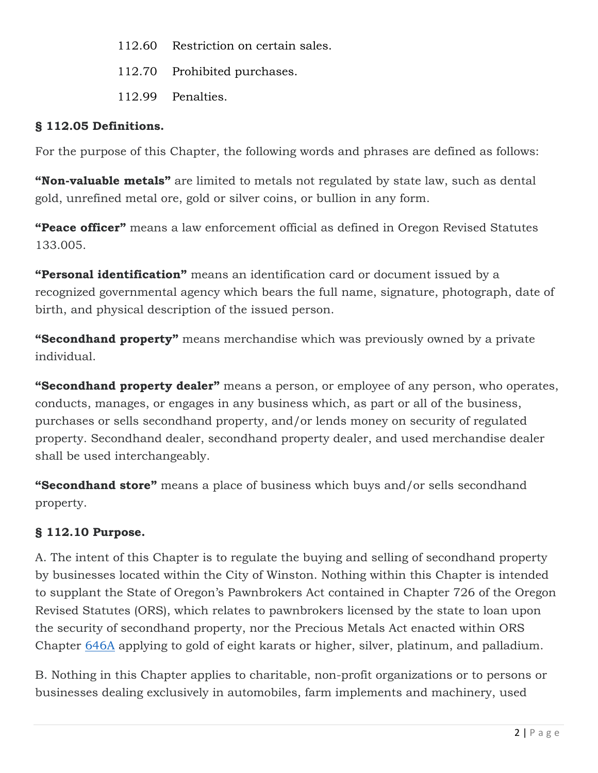- [112.60 Restriction on certain sales.](https://www.codepublishing.com/OR/Sutherlin/#!/Sutherlin05/Sutherlin0524.html#5.24.070)
- [112.70 Prohibited purchases.](https://www.codepublishing.com/OR/Sutherlin/#!/Sutherlin05/Sutherlin0524.html#5.24.080)
- [112.99 Penalties.](https://www.codepublishing.com/OR/Sutherlin/#!/Sutherlin05/Sutherlin0524.html#5.24.090)

### **§ 112.05 Definitions.**

For the purpose of this Chapter, the following words and phrases are defined as follows:

**"Non-valuable metals"** are limited to metals not regulated by state law, such as dental gold, unrefined metal ore, gold or silver coins, or bullion in any form.

**"Peace officer"** means a law enforcement official as defined in Oregon Revised Statutes 133.005.

**"Personal identification"** means an identification card or document issued by a recognized governmental agency which bears the full name, signature, photograph, date of birth, and physical description of the issued person.

**"Secondhand property"** means merchandise which was previously owned by a private individual.

**"Secondhand property dealer"** means a person, or employee of any person, who operates, conducts, manages, or engages in any business which, as part or all of the business, purchases or sells secondhand property, and/or lends money on security of regulated property. Secondhand dealer, secondhand property dealer, and used merchandise dealer shall be used interchangeably.

**"Secondhand store"** means a place of business which buys and/or sells secondhand property.

## **§ 112.10 Purpose.**

A. The intent of this Chapter is to regulate the buying and selling of secondhand property by businesses located within the City of Winston. Nothing within this Chapter is intended to supplant the State of Oregon's Pawnbrokers Act contained in Chapter 726 of the Oregon Revised Statutes (ORS), which relates to pawnbrokers licensed by the state to loan upon the security of secondhand property, nor the Precious Metals Act enacted within ORS Chapter [646A](https://www.codepublishing.com/cgi-bin/ors.pl?cite=646a) applying to gold of eight karats or higher, silver, platinum, and palladium.

B. Nothing in this Chapter applies to charitable, non-profit organizations or to persons or businesses dealing exclusively in automobiles, farm implements and machinery, used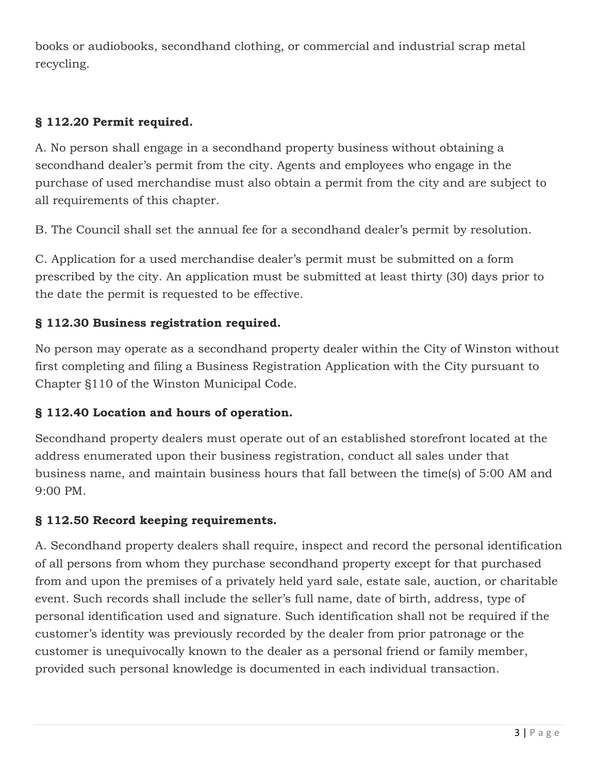books or audiobooks, secondhand clothing, or commercial and industrial scrap metal recycling.

### **§ 112.20 Permit required.**

A. No person shall engage in a secondhand property business without obtaining a secondhand dealer's permit from the city. Agents and employees who engage in the purchase of used merchandise must also obtain a permit from the city and are subject to all requirements of this chapter.

B. The Council shall set the annual fee for a secondhand dealer's permit by resolution.

C. Application for a used merchandise dealer's permit must be submitted on a form prescribed by the city. An application must be submitted at least thirty (30) days prior to the date the permit is requested to be effective.

### **§ 112.30 Business registration required.**

No person may operate as a secondhand property dealer within the City of Winston without first completing and filing a Business Registration Application with the City pursuant to Chapter §110 of the Winston Municipal Code.

### **§ 112.40 Location and hours of operation.**

Secondhand property dealers must operate out of an established storefront located at the address enumerated upon their business registration, conduct all sales under that business name, and maintain business hours that fall between the time(s) of 5:00 AM and 9:00 PM.

### **§ 112.50 Record keeping requirements.**

A. Secondhand property dealers shall require, inspect and record the personal identification of all persons from whom they purchase secondhand property except for that purchased from and upon the premises of a privately held yard sale, estate sale, auction, or charitable event. Such records shall include the seller's full name, date of birth, address, type of personal identification used and signature. Such identification shall not be required if the customer's identity was previously recorded by the dealer from prior patronage or the customer is unequivocally known to the dealer as a personal friend or family member, provided such personal knowledge is documented in each individual transaction.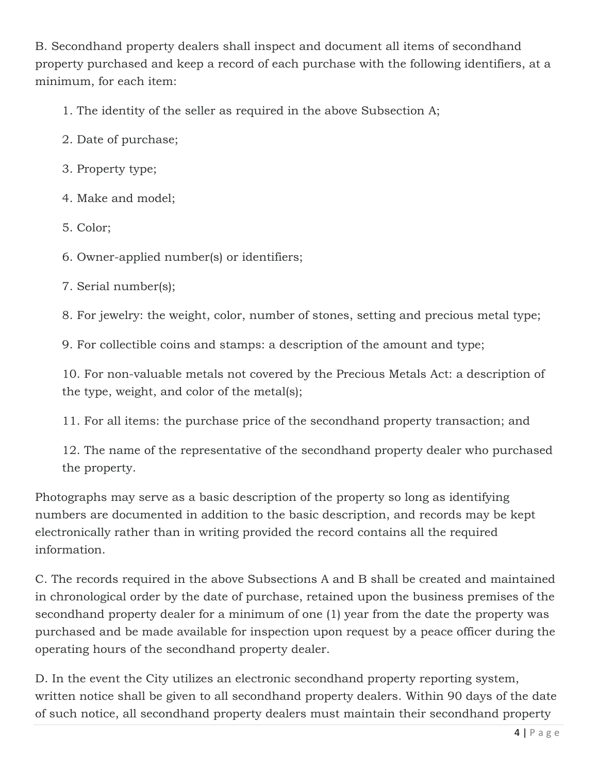B. Secondhand property dealers shall inspect and document all items of secondhand property purchased and keep a record of each purchase with the following identifiers, at a minimum, for each item:

1. The identity of the seller as required in the above Subsection A;

- 2. Date of purchase;
- 3. Property type;
- 4. Make and model;
- 5. Color;

6. Owner-applied number(s) or identifiers;

7. Serial number(s);

8. For jewelry: the weight, color, number of stones, setting and precious metal type;

9. For collectible coins and stamps: a description of the amount and type;

10. For non-valuable metals not covered by the Precious Metals Act: a description of the type, weight, and color of the metal(s);

11. For all items: the purchase price of the secondhand property transaction; and

12. The name of the representative of the secondhand property dealer who purchased the property.

Photographs may serve as a basic description of the property so long as identifying numbers are documented in addition to the basic description, and records may be kept electronically rather than in writing provided the record contains all the required information.

C. The records required in the above Subsections A and B shall be created and maintained in chronological order by the date of purchase, retained upon the business premises of the secondhand property dealer for a minimum of one (1) year from the date the property was purchased and be made available for inspection upon request by a peace officer during the operating hours of the secondhand property dealer.

D. In the event the City utilizes an electronic secondhand property reporting system, written notice shall be given to all secondhand property dealers. Within 90 days of the date of such notice, all secondhand property dealers must maintain their secondhand property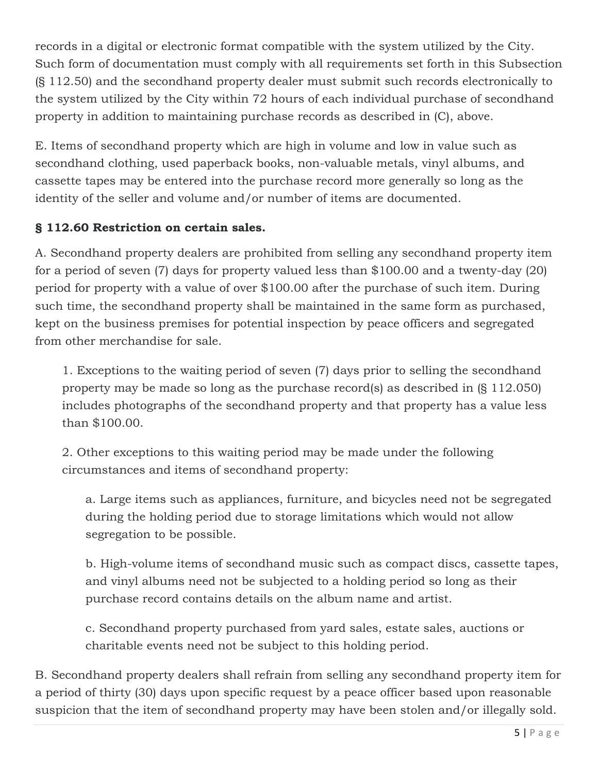records in a digital or electronic format compatible with the system utilized by the City. Such form of documentation must comply with all requirements set forth in this Subsection (§ 112.50) and the secondhand property dealer must submit such records electronically to the system utilized by the City within 72 hours of each individual purchase of secondhand property in addition to maintaining purchase records as described in (C), above.

E. Items of secondhand property which are high in volume and low in value such as secondhand clothing, used paperback books, non-valuable metals, vinyl albums, and cassette tapes may be entered into the purchase record more generally so long as the identity of the seller and volume and/or number of items are documented.

### **§ 112.60 Restriction on certain sales.**

A. Secondhand property dealers are prohibited from selling any secondhand property item for a period of seven (7) days for property valued less than \$100.00 and a twenty-day (20) period for property with a value of over \$100.00 after the purchase of such item. During such time, the secondhand property shall be maintained in the same form as purchased, kept on the business premises for potential inspection by peace officers and segregated from other merchandise for sale.

1. Exceptions to the waiting period of seven (7) days prior to selling the secondhand property may be made so long as the purchase record(s) as described in (§ 112.050) includes photographs of the secondhand property and that property has a value less than \$100.00.

2. Other exceptions to this waiting period may be made under the following circumstances and items of secondhand property:

a. Large items such as appliances, furniture, and bicycles need not be segregated during the holding period due to storage limitations which would not allow segregation to be possible.

b. High-volume items of secondhand music such as compact discs, cassette tapes, and vinyl albums need not be subjected to a holding period so long as their purchase record contains details on the album name and artist.

c. Secondhand property purchased from yard sales, estate sales, auctions or charitable events need not be subject to this holding period.

B. Secondhand property dealers shall refrain from selling any secondhand property item for a period of thirty (30) days upon specific request by a peace officer based upon reasonable suspicion that the item of secondhand property may have been stolen and/or illegally sold.